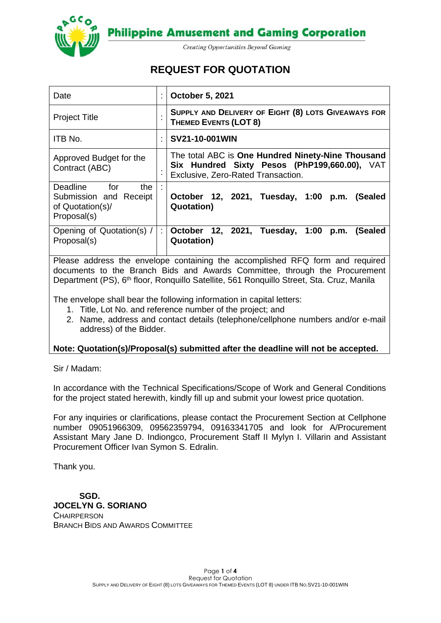



**Creating Opportunities Beyond Gaming** 

# **REQUEST FOR QUOTATION**

| Date                                                                             | October 5, 2021                                                                                                                         |  |
|----------------------------------------------------------------------------------|-----------------------------------------------------------------------------------------------------------------------------------------|--|
| <b>Project Title</b>                                                             | SUPPLY AND DELIVERY OF EIGHT (8) LOTS GIVEAWAYS FOR<br><b>THEMED EVENTS (LOT 8)</b>                                                     |  |
| ITB No.                                                                          | SV21-10-001WIN                                                                                                                          |  |
| Approved Budget for the<br>Contract (ABC)                                        | The total ABC is One Hundred Ninety-Nine Thousand<br>Six Hundred Sixty Pesos (PhP199,660.00), VAT<br>Exclusive, Zero-Rated Transaction. |  |
| Deadline for<br>the<br>Submission and Receipt<br>of Quotation(s)/<br>Proposal(s) | October 12, 2021, Tuesday, 1:00 p.m. (Sealed<br><b>Quotation</b> )                                                                      |  |
| Opening of Quotation(s) /<br>Proposal(s)                                         | October 12, 2021, Tuesday, 1:00 p.m.<br>(Sealed<br><b>Quotation</b> )                                                                   |  |

Please address the envelope containing the accomplished RFQ form and required documents to the Branch Bids and Awards Committee, through the Procurement Department (PS), 6<sup>th</sup> floor, Ronquillo Satellite, 561 Ronquillo Street, Sta. Cruz, Manila

The envelope shall bear the following information in capital letters:

- 1. Title, Lot No. and reference number of the project; and
- 2. Name, address and contact details (telephone/cellphone numbers and/or e-mail address) of the Bidder.

## **Note: Quotation(s)/Proposal(s) submitted after the deadline will not be accepted.**

Sir / Madam:

In accordance with the Technical Specifications/Scope of Work and General Conditions for the project stated herewith, kindly fill up and submit your lowest price quotation.

For any inquiries or clarifications, please contact the Procurement Section at Cellphone number 09051966309, 09562359794, 09163341705 and look for A/Procurement Assistant Mary Jane D. Indiongco, Procurement Staff II Mylyn I. Villarin and Assistant Procurement Officer Ivan Symon S. Edralin.

Thank you.

 **SGD. JOCELYN G. SORIANO CHAIRPERSON** BRANCH BIDS AND AWARDS COMMITTEE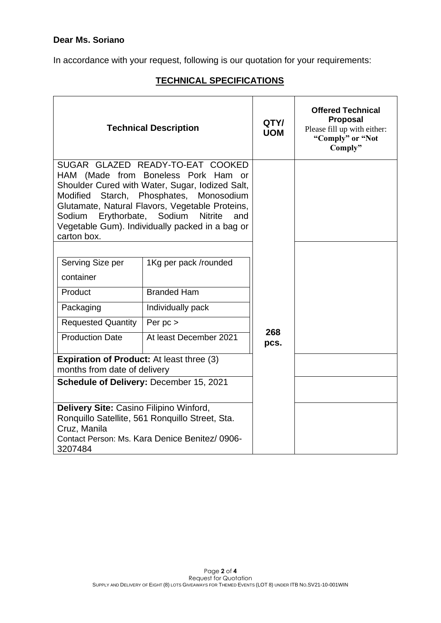In accordance with your request, following is our quotation for your requirements:

## **TECHNICAL SPECIFICATIONS**

|                                                                                                                                                                                                                                                                                                                                                   | <b>Technical Description</b>                    | QTY/<br><b>UOM</b> | <b>Offered Technical</b><br><b>Proposal</b><br>Please fill up with either:<br>"Comply" or "Not<br>Comply" |
|---------------------------------------------------------------------------------------------------------------------------------------------------------------------------------------------------------------------------------------------------------------------------------------------------------------------------------------------------|-------------------------------------------------|--------------------|-----------------------------------------------------------------------------------------------------------|
| SUGAR GLAZED READY-TO-EAT COOKED<br>HAM (Made from Boneless Pork Ham or<br>Shoulder Cured with Water, Sugar, Iodized Salt,<br>Modified Starch, Phosphates, Monosodium<br>Glutamate, Natural Flavors, Vegetable Proteins,<br>Sodium Erythorbate, Sodium<br><b>Nitrite</b><br>and<br>Vegetable Gum). Individually packed in a bag or<br>carton box. |                                                 |                    |                                                                                                           |
| Serving Size per                                                                                                                                                                                                                                                                                                                                  | 1Kg per pack /rounded                           |                    |                                                                                                           |
| container                                                                                                                                                                                                                                                                                                                                         |                                                 |                    |                                                                                                           |
| Product                                                                                                                                                                                                                                                                                                                                           | <b>Branded Ham</b>                              |                    |                                                                                                           |
| Packaging                                                                                                                                                                                                                                                                                                                                         | Individually pack                               |                    |                                                                                                           |
| <b>Requested Quantity</b>                                                                                                                                                                                                                                                                                                                         | Per $pc$ >                                      |                    |                                                                                                           |
| <b>Production Date</b>                                                                                                                                                                                                                                                                                                                            | At least December 2021                          | 268<br>pcs.        |                                                                                                           |
| <b>Expiration of Product:</b> At least three (3)                                                                                                                                                                                                                                                                                                  |                                                 |                    |                                                                                                           |
| months from date of delivery                                                                                                                                                                                                                                                                                                                      |                                                 |                    |                                                                                                           |
|                                                                                                                                                                                                                                                                                                                                                   | Schedule of Delivery: December 15, 2021         |                    |                                                                                                           |
| Delivery Site: Casino Filipino Winford,                                                                                                                                                                                                                                                                                                           |                                                 |                    |                                                                                                           |
|                                                                                                                                                                                                                                                                                                                                                   | Ronquillo Satellite, 561 Ronquillo Street, Sta. |                    |                                                                                                           |
| Cruz, Manila                                                                                                                                                                                                                                                                                                                                      | Contact Person: Ms. Kara Denice Benitez/ 0906-  |                    |                                                                                                           |
| 3207484                                                                                                                                                                                                                                                                                                                                           |                                                 |                    |                                                                                                           |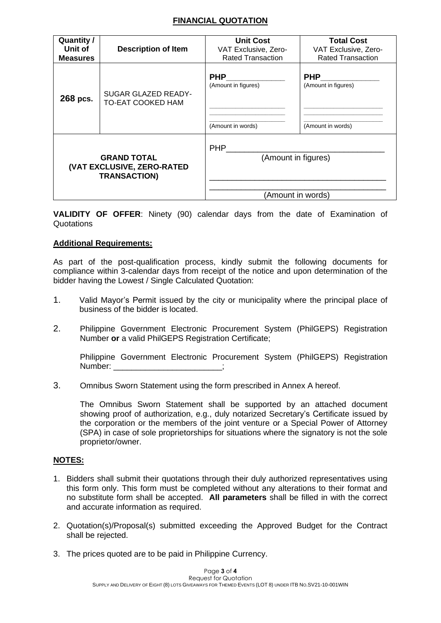## **FINANCIAL QUOTATION**

| <b>Quantity /</b>          | <b>Description of Item</b>                      | <b>Unit Cost</b>                                       | <b>Total Cost</b>                                      |
|----------------------------|-------------------------------------------------|--------------------------------------------------------|--------------------------------------------------------|
| Unit of                    |                                                 | VAT Exclusive, Zero-                                   | VAT Exclusive, Zero-                                   |
| <b>Measures</b>            |                                                 | <b>Rated Transaction</b>                               | <b>Rated Transaction</b>                               |
| 268 pcs.                   | SUGAR GLAZED READY-<br><b>TO-EAT COOKED HAM</b> | <b>PHP</b><br>(Amount in figures)<br>(Amount in words) | <b>PHP</b><br>(Amount in figures)<br>(Amount in words) |
| <b>GRAND TOTAL</b>         |                                                 | <b>PHP</b>                                             |                                                        |
| (VAT EXCLUSIVE, ZERO-RATED |                                                 | (Amount in figures)                                    |                                                        |
| <b>TRANSACTION)</b>        |                                                 | (Amount in words)                                      |                                                        |

**VALIDITY OF OFFER**: Ninety (90) calendar days from the date of Examination of **Quotations** 

### **Additional Requirements:**

As part of the post-qualification process, kindly submit the following documents for compliance within 3-calendar days from receipt of the notice and upon determination of the bidder having the Lowest / Single Calculated Quotation:

- 1. Valid Mayor's Permit issued by the city or municipality where the principal place of business of the bidder is located.
- 2. Philippine Government Electronic Procurement System (PhilGEPS) Registration Number **or** a valid PhilGEPS Registration Certificate;

Philippine Government Electronic Procurement System (PhilGEPS) Registration Number: \_\_\_\_\_\_\_\_\_\_\_\_\_\_\_\_\_\_\_\_\_\_\_\_;

3. Omnibus Sworn Statement using the form prescribed in Annex A hereof.

The Omnibus Sworn Statement shall be supported by an attached document showing proof of authorization, e.g., duly notarized Secretary's Certificate issued by the corporation or the members of the joint venture or a Special Power of Attorney (SPA) in case of sole proprietorships for situations where the signatory is not the sole proprietor/owner.

### **NOTES:**

- 1. Bidders shall submit their quotations through their duly authorized representatives using this form only. This form must be completed without any alterations to their format and no substitute form shall be accepted. **All parameters** shall be filled in with the correct and accurate information as required.
- 2. Quotation(s)/Proposal(s) submitted exceeding the Approved Budget for the Contract shall be rejected.
- 3. The prices quoted are to be paid in Philippine Currency.